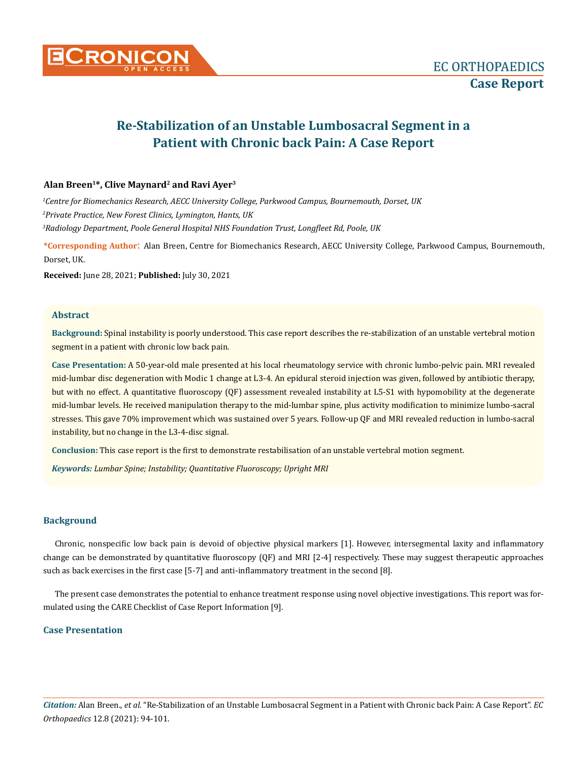

# **Re-Stabilization of an Unstable Lumbosacral Segment in a Patient with Chronic back Pain: A Case Report**

# **Alan Breen1\*, Clive Maynard2 and Ravi Ayer3**

*1 Centre for Biomechanics Research, AECC University College, Parkwood Campus, Bournemouth, Dorset, UK 2 Private Practice, New Forest Clinics, Lymington, Hants, UK 3 Radiology Department, Poole General Hospital NHS Foundation Trust, Longfleet Rd, Poole, UK*

**\*Corresponding Author**: Alan Breen, Centre for Biomechanics Research, AECC University College, Parkwood Campus, Bournemouth, Dorset, UK.

**Received:** June 28, 2021; **Published:** July 30, 2021

# **Abstract**

**Background:** Spinal instability is poorly understood. This case report describes the re-stabilization of an unstable vertebral motion segment in a patient with chronic low back pain.

**Case Presentation:** A 50-year-old male presented at his local rheumatology service with chronic lumbo-pelvic pain. MRI revealed mid-lumbar disc degeneration with Modic 1 change at L3-4. An epidural steroid injection was given, followed by antibiotic therapy, but with no effect. A quantitative fluoroscopy (QF) assessment revealed instability at L5-S1 with hypomobility at the degenerate mid-lumbar levels. He received manipulation therapy to the mid-lumbar spine, plus activity modification to minimize lumbo-sacral stresses. This gave 70% improvement which was sustained over 5 years. Follow-up QF and MRI revealed reduction in lumbo-sacral instability, but no change in the L3-4-disc signal.

**Conclusion:** This case report is the first to demonstrate restabilisation of an unstable vertebral motion segment.

*Keywords: Lumbar Spine; Instability; Quantitative Fluoroscopy; Upright MRI*

# **Background**

Chronic, nonspecific low back pain is devoid of objective physical markers [1]. However, intersegmental laxity and inflammatory change can be demonstrated by quantitative fluoroscopy (QF) and MRI [2-4] respectively. These may suggest therapeutic approaches such as back exercises in the first case [5-7] and anti-inflammatory treatment in the second [8].

The present case demonstrates the potential to enhance treatment response using novel objective investigations. This report was formulated using the CARE Checklist of Case Report Information [9].

# **Case Presentation**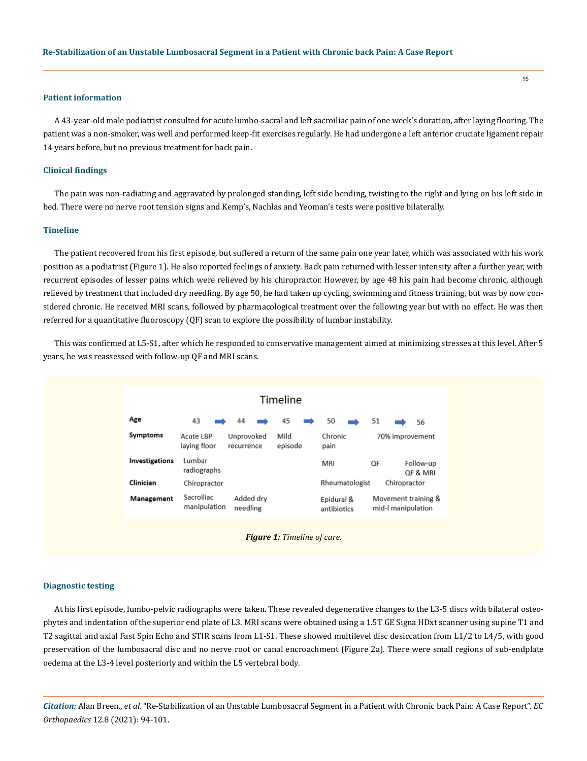## **Patient information**

A 43-year-old male podiatrist consulted for acute lumbo-sacral and left sacroiliac pain of one week's duration, after laying flooring. The patient was a non-smoker, was well and performed keep-fit exercises regularly. He had undergone a left anterior cruciate ligament repair 14 years before, but no previous treatment for back pain.

## **Clinical findings**

The pain was non-radiating and aggravated by prolonged standing, left side bending, twisting to the right and lying on his left side in bed. There were no nerve root tension signs and Kemp's, Nachlas and Yeoman's tests were positive bilaterally.

#### **Timeline**

The patient recovered from his first episode, but suffered a return of the same pain one year later, which was associated with his work position as a podiatrist (Figure 1). He also reported feelings of anxiety. Back pain returned with lesser intensity after a further year, with recurrent episodes of lesser pains which were relieved by his chiropractor. However, by age 48 his pain had become chronic, although relieved by treatment that included dry needling. By age 50, he had taken up cycling, swimming and fitness training, but was by now considered chronic. He received MRI scans, followed by pharmacological treatment over the following year but with no effect. He was then referred for a quantitative fluoroscopy (QF) scan to explore the possibility of lumbar instability.

This was confirmed at L5-S1, after which he responded to conservative management aimed at minimizing stresses at this level. After 5 years, he was reassessed with follow-up QF and MRI scans.



#### **Diagnostic testing**

At his first episode, lumbo-pelvic radiographs were taken. These revealed degenerative changes to the L3-5 discs with bilateral osteophytes and indentation of the superior end plate of L3. MRI scans were obtained using a 1.5T GE Signa HDxt scanner using supine T1 and T2 sagittal and axial Fast Spin Echo and STIR scans from L1-S1. These showed multilevel disc desiccation from L1/2 to L4/5, with good preservation of the lumbosacral disc and no nerve root or canal encroachment (Figure 2a). There were small regions of sub-endplate oedema at the L3-4 level posteriorly and within the L5 vertebral body.

*Citation:* Alan Breen., *et al.* "Re-Stabilization of an Unstable Lumbosacral Segment in a Patient with Chronic back Pain: A Case Report". *EC Orthopaedics* 12.8 (2021): 94-101.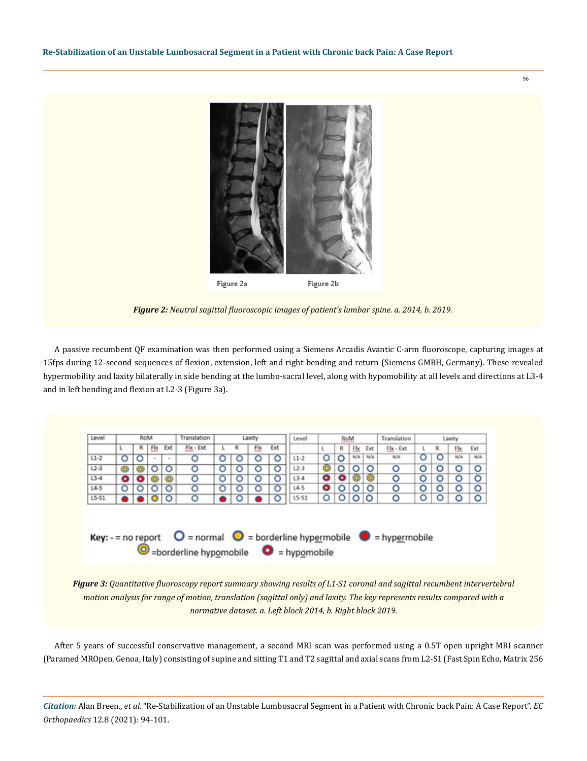

96

*Figure 2: Neutral sagittal fluoroscopic images of patient's lumbar spine. a. 2014, b. 2019.*

A passive recumbent QF examination was then performed using a Siemens Arcadis Avantic C-arm fluoroscope, capturing images at 15fps during 12-second sequences of flexion, extension, left and right bending and return (Siemens GMBH, Germany). These revealed hypermobility and laxity bilaterally in side bending at the lumbo-sacral level, along with hypomobility at all levels and directions at L3-4 and in left bending and flexion at L2-3 (Figure 3a).



*Figure 3: Quantitative fluoroscopy report summary showing results of L1-S1 coronal and sagittal recumbent intervertebral motion analysis for range of motion, translation (sagittal only) and laxity. The key represents results compared with a normative dataset. a. Left block 2014, b. Right block 2019.*

After 5 years of successful conservative management, a second MRI scan was performed using a 0.5T open upright MRI scanner (Paramed MROpen, Genoa, Italy) consisting of supine and sitting T1 and T2 sagittal and axial scans from L2-S1 (Fast Spin Echo, Matrix 256

*Citation:* Alan Breen., *et al.* "Re-Stabilization of an Unstable Lumbosacral Segment in a Patient with Chronic back Pain: A Case Report". *EC Orthopaedics* 12.8 (2021): 94-101.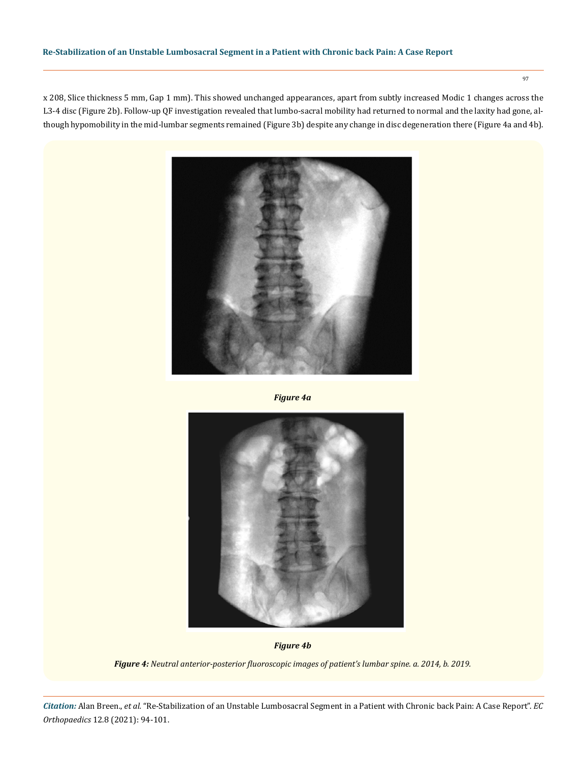## **Re-Stabilization of an Unstable Lumbosacral Segment in a Patient with Chronic back Pain: A Case Report**

x 208, Slice thickness 5 mm, Gap 1 mm). This showed unchanged appearances, apart from subtly increased Modic 1 changes across the L3-4 disc (Figure 2b). Follow-up QF investigation revealed that lumbo-sacral mobility had returned to normal and the laxity had gone, although hypomobility in the mid-lumbar segments remained (Figure 3b) despite any change in disc degeneration there (Figure 4a and 4b).



*Figure 4a*



*Figure 4b*

*Figure 4: Neutral anterior-posterior fluoroscopic images of patient's lumbar spine. a. 2014, b. 2019.*

*Citation:* Alan Breen., *et al.* "Re-Stabilization of an Unstable Lumbosacral Segment in a Patient with Chronic back Pain: A Case Report". *EC Orthopaedics* 12.8 (2021): 94-101.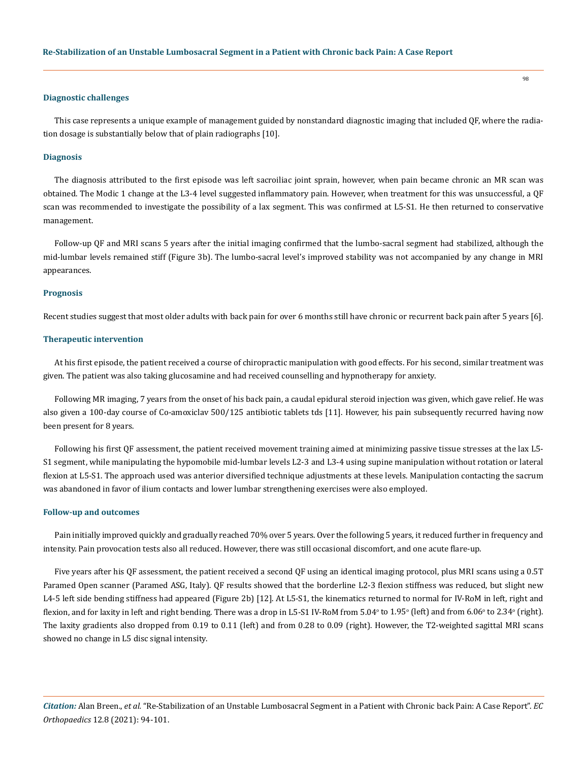#### **Diagnostic challenges**

This case represents a unique example of management guided by nonstandard diagnostic imaging that included QF, where the radiation dosage is substantially below that of plain radiographs [10].

#### **Diagnosis**

The diagnosis attributed to the first episode was left sacroiliac joint sprain, however, when pain became chronic an MR scan was obtained. The Modic 1 change at the L3-4 level suggested inflammatory pain. However, when treatment for this was unsuccessful, a QF scan was recommended to investigate the possibility of a lax segment. This was confirmed at L5-S1. He then returned to conservative management.

Follow-up QF and MRI scans 5 years after the initial imaging confirmed that the lumbo-sacral segment had stabilized, although the mid-lumbar levels remained stiff (Figure 3b). The lumbo-sacral level's improved stability was not accompanied by any change in MRI appearances.

#### **Prognosis**

Recent studies suggest that most older adults with back pain for over 6 months still have chronic or recurrent back pain after 5 years [6].

#### **Therapeutic intervention**

At his first episode, the patient received a course of chiropractic manipulation with good effects. For his second, similar treatment was given. The patient was also taking glucosamine and had received counselling and hypnotherapy for anxiety.

Following MR imaging, 7 years from the onset of his back pain, a caudal epidural steroid injection was given, which gave relief. He was also given a 100-day course of Co-amoxiclav 500/125 antibiotic tablets tds [11]. However, his pain subsequently recurred having now been present for 8 years.

Following his first QF assessment, the patient received movement training aimed at minimizing passive tissue stresses at the lax L5- S1 segment, while manipulating the hypomobile mid-lumbar levels L2-3 and L3-4 using supine manipulation without rotation or lateral flexion at L5-S1. The approach used was anterior diversified technique adjustments at these levels. Manipulation contacting the sacrum was abandoned in favor of ilium contacts and lower lumbar strengthening exercises were also employed.

#### **Follow-up and outcomes**

Pain initially improved quickly and gradually reached 70% over 5 years. Over the following 5 years, it reduced further in frequency and intensity. Pain provocation tests also all reduced. However, there was still occasional discomfort, and one acute flare-up.

Five years after his QF assessment, the patient received a second QF using an identical imaging protocol, plus MRI scans using a 0.5T Paramed Open scanner (Paramed ASG, Italy). QF results showed that the borderline L2-3 flexion stiffness was reduced, but slight new L4-5 left side bending stiffness had appeared (Figure 2b) [12]. At L5-S1, the kinematics returned to normal for IV-RoM in left, right and flexion, and for laxity in left and right bending. There was a drop in L5-S1 IV-RoM from 5.04° to 1.95° (left) and from 6.06° to 2.34° (right). The laxity gradients also dropped from 0.19 to 0.11 (left) and from 0.28 to 0.09 (right). However, the T2-weighted sagittal MRI scans showed no change in L5 disc signal intensity.

*Citation:* Alan Breen., *et al.* "Re-Stabilization of an Unstable Lumbosacral Segment in a Patient with Chronic back Pain: A Case Report". *EC Orthopaedics* 12.8 (2021): 94-101.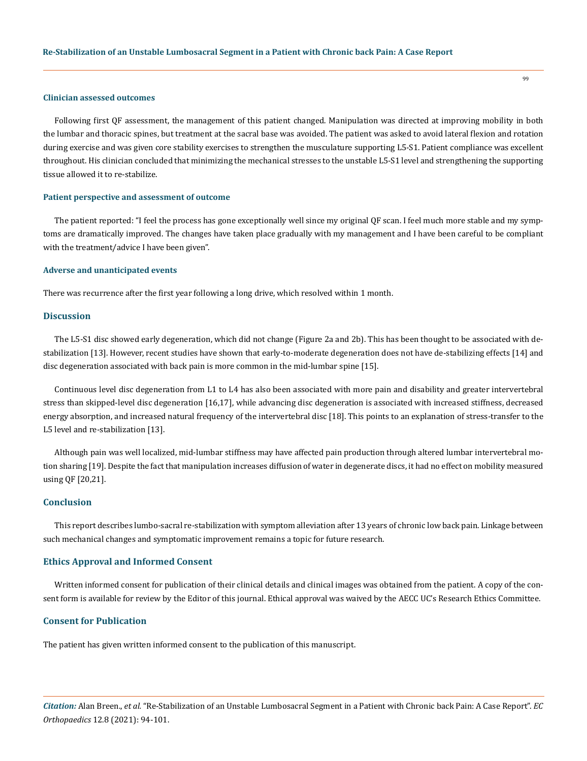#### **Clinician assessed outcomes**

Following first QF assessment, the management of this patient changed. Manipulation was directed at improving mobility in both the lumbar and thoracic spines, but treatment at the sacral base was avoided. The patient was asked to avoid lateral flexion and rotation during exercise and was given core stability exercises to strengthen the musculature supporting L5-S1. Patient compliance was excellent throughout. His clinician concluded that minimizing the mechanical stresses to the unstable L5-S1 level and strengthening the supporting tissue allowed it to re-stabilize.

## **Patient perspective and assessment of outcome**

The patient reported: "I feel the process has gone exceptionally well since my original QF scan. I feel much more stable and my symptoms are dramatically improved. The changes have taken place gradually with my management and I have been careful to be compliant with the treatment/advice I have been given".

#### **Adverse and unanticipated events**

There was recurrence after the first year following a long drive, which resolved within 1 month.

## **Discussion**

The L5-S1 disc showed early degeneration, which did not change (Figure 2a and 2b). This has been thought to be associated with destabilization [13]. However, recent studies have shown that early-to-moderate degeneration does not have de-stabilizing effects [14] and disc degeneration associated with back pain is more common in the mid-lumbar spine [15].

Continuous level disc degeneration from L1 to L4 has also been associated with more pain and disability and greater intervertebral stress than skipped-level disc degeneration [16,17], while advancing disc degeneration is associated with increased stiffness, decreased energy absorption, and increased natural frequency of the intervertebral disc [18]. This points to an explanation of stress-transfer to the L5 level and re-stabilization [13].

Although pain was well localized, mid-lumbar stiffness may have affected pain production through altered lumbar intervertebral motion sharing [19]. Despite the fact that manipulation increases diffusion of water in degenerate discs, it had no effect on mobility measured using QF [20,21].

## **Conclusion**

This report describes lumbo-sacral re-stabilization with symptom alleviation after 13 years of chronic low back pain. Linkage between such mechanical changes and symptomatic improvement remains a topic for future research.

## **Ethics Approval and Informed Consent**

Written informed consent for publication of their clinical details and clinical images was obtained from the patient. A copy of the consent form is available for review by the Editor of this journal. Ethical approval was waived by the AECC UC's Research Ethics Committee.

## **Consent for Publication**

The patient has given written informed consent to the publication of this manuscript.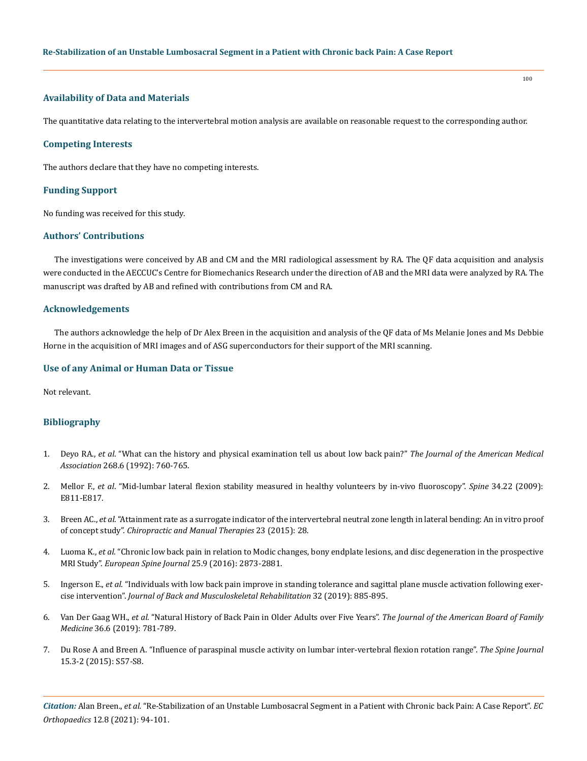## **Availability of Data and Materials**

The quantitative data relating to the intervertebral motion analysis are available on reasonable request to the corresponding author.

#### **Competing Interests**

The authors declare that they have no competing interests.

#### **Funding Support**

No funding was received for this study.

# **Authors' Contributions**

The investigations were conceived by AB and CM and the MRI radiological assessment by RA. The QF data acquisition and analysis were conducted in the AECCUC's Centre for Biomechanics Research under the direction of AB and the MRI data were analyzed by RA. The manuscript was drafted by AB and refined with contributions from CM and RA.

## **Acknowledgements**

The authors acknowledge the help of Dr Alex Breen in the acquisition and analysis of the QF data of Ms Melanie Jones and Ms Debbie Horne in the acquisition of MRI images and of ASG superconductors for their support of the MRI scanning.

## **Use of any Animal or Human Data or Tissue**

Not relevant.

### **Bibliography**

- 1. Deyo RA., *et al*[. "What can the history and physical examination tell us about low back pain?"](https://pubmed.ncbi.nlm.nih.gov/1386391/) *The Journal of the American Medical Association* [268.6 \(1992\): 760-765.](https://pubmed.ncbi.nlm.nih.gov/1386391/)
- 2. Mellor F., *et al*[. "Mid-lumbar lateral flexion stability measured in healthy volunteers by in-vivo fluoroscopy".](https://pubmed.ncbi.nlm.nih.gov/19829245/) *Spine* 34.22 (2009): [E811-E817.](https://pubmed.ncbi.nlm.nih.gov/19829245/)
- 3. Breen AC., *et al*[. "Attainment rate as a surrogate indicator of the intervertebral neutral zone length in lateral bending: An in vitro proof](https://chiromt.biomedcentral.com/articles/10.1186/s12998-015-0073-8)  of concept study". *[Chiropractic and Manual Therapies](https://chiromt.biomedcentral.com/articles/10.1186/s12998-015-0073-8)* 23 (2015): 28.
- 4. Luoma K., *et al*[. "Chronic low back pain in relation to Modic changes, bony endplate lesions, and disc degeneration in the prospective](https://pubmed.ncbi.nlm.nih.gov/27480265/)  MRI Study". *[European Spine Journal](https://pubmed.ncbi.nlm.nih.gov/27480265/)* 25.9 (2016): 2873-2881.
- 5. Ingerson E., *et al*[. "Individuals with low back pain improve in standing tolerance and sagittal plane muscle activation following exer](https://content.iospress.com/articles/journal-of-back-and-musculoskeletal-rehabilitation/bmr171053)cise intervention". *[Journal of Back and Musculoskeletal Rehabilitation](https://content.iospress.com/articles/journal-of-back-and-musculoskeletal-rehabilitation/bmr171053)* 32 (2019): 885-895.
- 6. Van Der Gaag WH., *et al*[. "Natural History of Back Pain in Older Adults over Five Years".](https://pubmed.ncbi.nlm.nih.gov/31704746/) *The Journal of the American Board of Family Medicine* [36.6 \(2019\): 781-789.](https://pubmed.ncbi.nlm.nih.gov/31704746/)
- 7. [Du Rose A and Breen A. "Influence of paraspinal muscle activity on lumbar inter-vertebral flexion rotation range".](https://www.thespinejournalonline.com/article/S1529-9430(14)01907-X/abstract) *The Spine Journal*  [15.3-2 \(2015\): S57-S8.](https://www.thespinejournalonline.com/article/S1529-9430(14)01907-X/abstract)

*Citation:* Alan Breen., *et al.* "Re-Stabilization of an Unstable Lumbosacral Segment in a Patient with Chronic back Pain: A Case Report". *EC Orthopaedics* 12.8 (2021): 94-101.